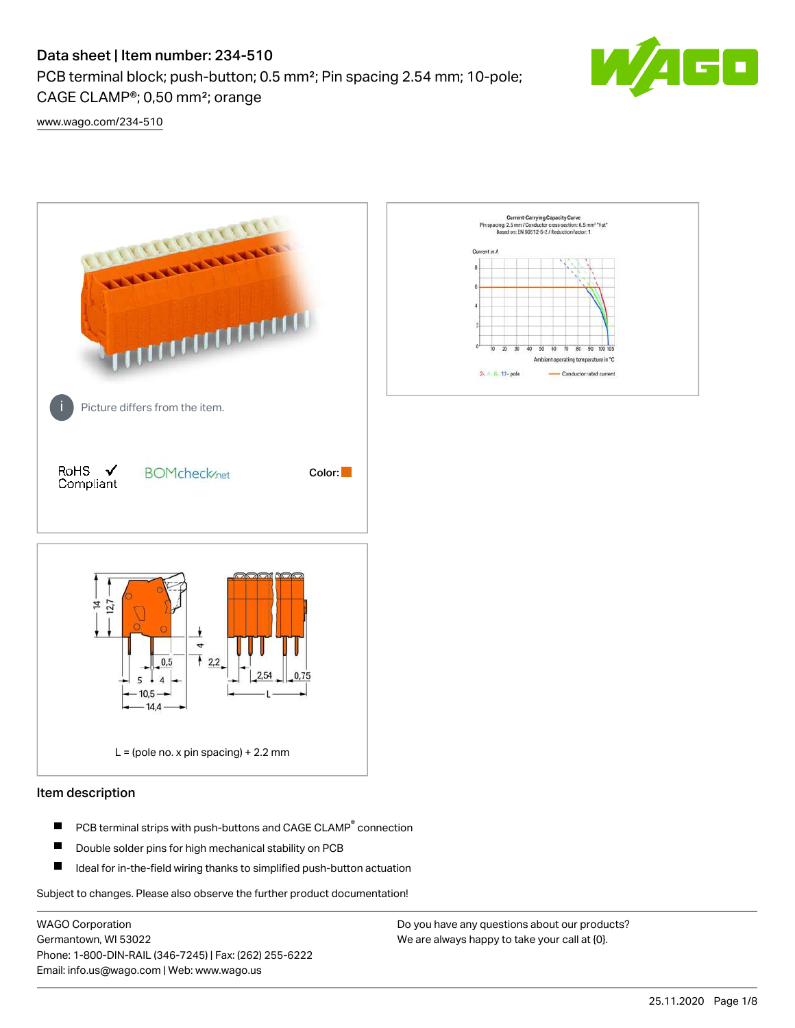# Data sheet | Item number: 234-510

PCB terminal block; push-button; 0.5 mm²; Pin spacing 2.54 mm; 10-pole; CAGE CLAMP®; 0,50 mm²; orange



[www.wago.com/234-510](http://www.wago.com/234-510)



# Item description

- PCB terminal strips with push-buttons and CAGE CLAMP<sup>®</sup> connection П
- П Double solder pins for high mechanical stability on PCB
- П Ideal for in-the-field wiring thanks to simplified push-button actuation

Subject to changes. Please also observe the further product documentation!

WAGO Corporation Germantown, WI 53022 Phone: 1-800-DIN-RAIL (346-7245) | Fax: (262) 255-6222 Email: info.us@wago.com | Web: www.wago.us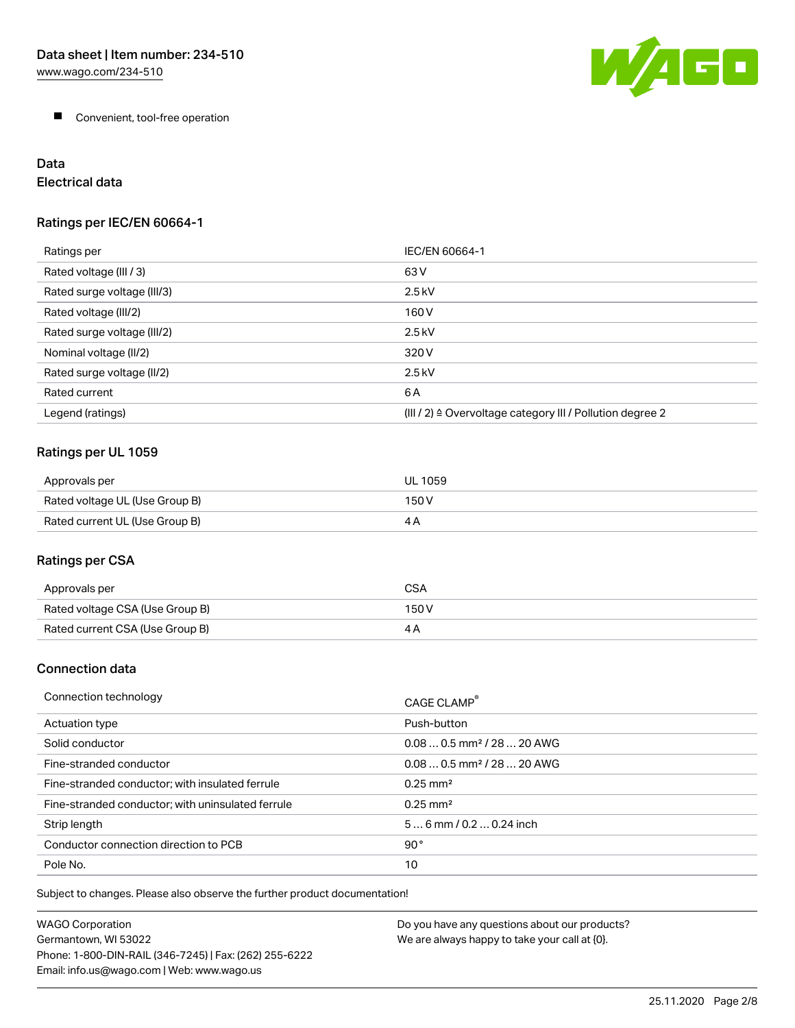W/AGO

**Convenient, tool-free operation** 

# Data Electrical data

# Ratings per IEC/EN 60664-1

| Ratings per                 | IEC/EN 60664-1                                                        |
|-----------------------------|-----------------------------------------------------------------------|
| Rated voltage (III / 3)     | 63 V                                                                  |
| Rated surge voltage (III/3) | $2.5$ kV                                                              |
| Rated voltage (III/2)       | 160 V                                                                 |
| Rated surge voltage (III/2) | $2.5$ kV                                                              |
| Nominal voltage (II/2)      | 320 V                                                                 |
| Rated surge voltage (II/2)  | $2.5$ kV                                                              |
| Rated current               | 6A                                                                    |
| Legend (ratings)            | $(III / 2)$ $\triangle$ Overvoltage category III / Pollution degree 2 |

# Ratings per UL 1059

| Approvals per                  | UL 1059 |
|--------------------------------|---------|
| Rated voltage UL (Use Group B) | 150 V   |
| Rated current UL (Use Group B) | 4 A     |

# Ratings per CSA

| Approvals per                   | CSA   |
|---------------------------------|-------|
| Rated voltage CSA (Use Group B) | 150 V |
| Rated current CSA (Use Group B) |       |

# Connection data

| Connection technology                             | CAGE CLAMP <sup>®</sup>                |
|---------------------------------------------------|----------------------------------------|
| Actuation type                                    | Push-button                            |
| Solid conductor                                   | $0.080.5$ mm <sup>2</sup> / 28  20 AWG |
| Fine-stranded conductor                           | $0.080.5$ mm <sup>2</sup> / 28  20 AWG |
| Fine-stranded conductor; with insulated ferrule   | $0.25 \text{ mm}^2$                    |
| Fine-stranded conductor; with uninsulated ferrule | $0.25 \text{ mm}^2$                    |
| Strip length                                      | $56$ mm $/ 0.20.24$ inch               |
| Conductor connection direction to PCB             | 90°                                    |
| Pole No.                                          | 10                                     |

Subject to changes. Please also observe the further product documentation!

| WAGO Corporation                                       | Do you have any questions about our products? |
|--------------------------------------------------------|-----------------------------------------------|
| Germantown, WI 53022                                   | We are always happy to take your call at {0}. |
| Phone: 1-800-DIN-RAIL (346-7245)   Fax: (262) 255-6222 |                                               |
| Email: info.us@wago.com   Web: www.wago.us             |                                               |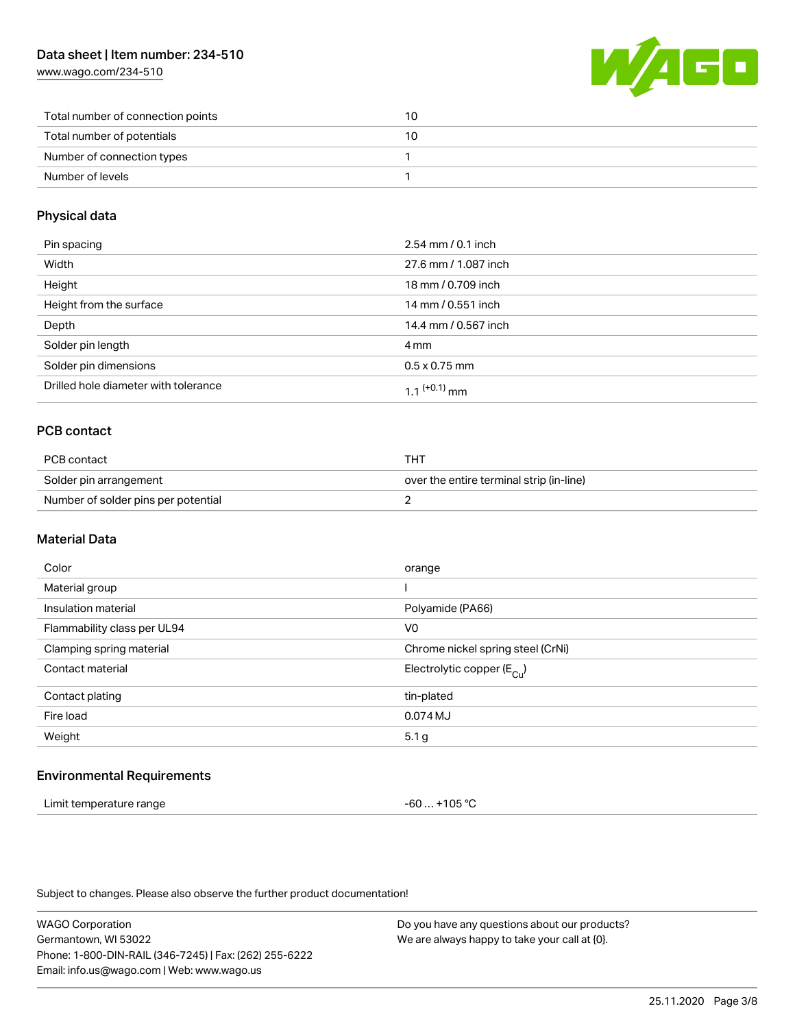[www.wago.com/234-510](http://www.wago.com/234-510)



| Total number of connection points | 10 |
|-----------------------------------|----|
| Total number of potentials        | 10 |
| Number of connection types        |    |
| Number of levels                  |    |

# Physical data

| Pin spacing                          | 2.54 mm / 0.1 inch   |
|--------------------------------------|----------------------|
| Width                                | 27.6 mm / 1.087 inch |
| Height                               | 18 mm / 0.709 inch   |
| Height from the surface              | 14 mm / 0.551 inch   |
| Depth                                | 14.4 mm / 0.567 inch |
| Solder pin length                    | 4 mm                 |
| Solder pin dimensions                | $0.5 \times 0.75$ mm |
| Drilled hole diameter with tolerance | 1 1 $(+0.1)$ mm      |

# PCB contact

| PCB contact                         | тнт                                      |
|-------------------------------------|------------------------------------------|
| Solder pin arrangement              | over the entire terminal strip (in-line) |
| Number of solder pins per potential |                                          |

## Material Data

| Color                       | orange                                |
|-----------------------------|---------------------------------------|
| Material group              |                                       |
| Insulation material         | Polyamide (PA66)                      |
| Flammability class per UL94 | V <sub>0</sub>                        |
| Clamping spring material    | Chrome nickel spring steel (CrNi)     |
| Contact material            | Electrolytic copper $(E_{\text{Cl}})$ |
| Contact plating             | tin-plated                            |
| Fire load                   | 0.074 MJ                              |
| Weight                      | 5.1 <sub>g</sub>                      |
|                             |                                       |

# Environmental Requirements

| Limit temperature range | -60  +105 °C |
|-------------------------|--------------|
|-------------------------|--------------|

Subject to changes. Please also observe the further product documentation!

WAGO Corporation Germantown, WI 53022 Phone: 1-800-DIN-RAIL (346-7245) | Fax: (262) 255-6222 Email: info.us@wago.com | Web: www.wago.us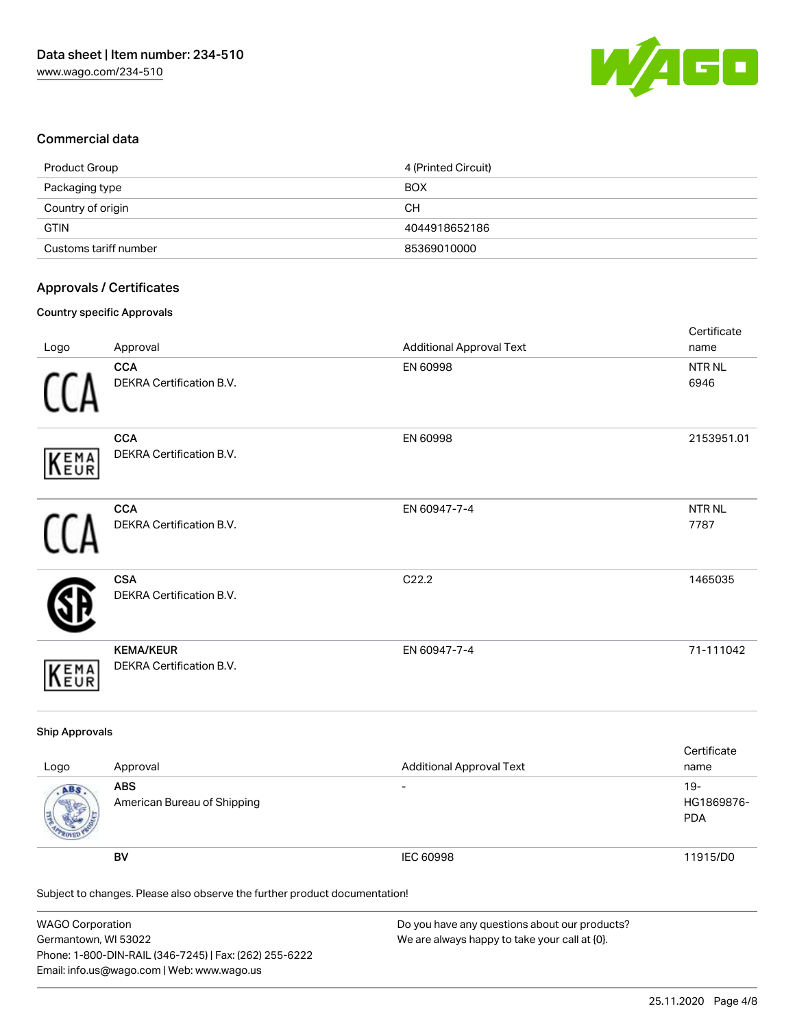

# Commercial data

| Product Group         | 4 (Printed Circuit) |
|-----------------------|---------------------|
| Packaging type        | <b>BOX</b>          |
| Country of origin     | CН                  |
| <b>GTIN</b>           | 4044918652186       |
| Customs tariff number | 85369010000         |

# Approvals / Certificates

#### Country specific Approvals

| Logo       | Approval                                     | <b>Additional Approval Text</b> | Certificate<br>name |
|------------|----------------------------------------------|---------------------------------|---------------------|
|            | <b>CCA</b><br>DEKRA Certification B.V.       | EN 60998                        | NTR NL<br>6946      |
| KEMA       | <b>CCA</b><br>DEKRA Certification B.V.       | EN 60998                        | 2153951.01          |
|            | <b>CCA</b><br>DEKRA Certification B.V.       | EN 60947-7-4                    | NTR NL<br>7787      |
|            | <b>CSA</b><br>DEKRA Certification B.V.       | C22.2                           | 1465035             |
| EMA<br>EUR | <b>KEMA/KEUR</b><br>DEKRA Certification B.V. | EN 60947-7-4                    | 71-111042           |

## Ship Approvals

| Logo | Approval                                  | <b>Additional Approval Text</b> | Certificate<br>name                |
|------|-------------------------------------------|---------------------------------|------------------------------------|
| ABS. | <b>ABS</b><br>American Bureau of Shipping | $\overline{\phantom{0}}$        | $19 -$<br>HG1869876-<br><b>PDA</b> |
|      | <b>BV</b>                                 | IEC 60998                       | 11915/D0                           |

Subject to changes. Please also observe the further product documentation!

| WAGO Corporation                                       | Do you have any questions about our products? |
|--------------------------------------------------------|-----------------------------------------------|
| Germantown, WI 53022                                   | We are always happy to take your call at {0}. |
| Phone: 1-800-DIN-RAIL (346-7245)   Fax: (262) 255-6222 |                                               |
| Email: info.us@wago.com   Web: www.wago.us             |                                               |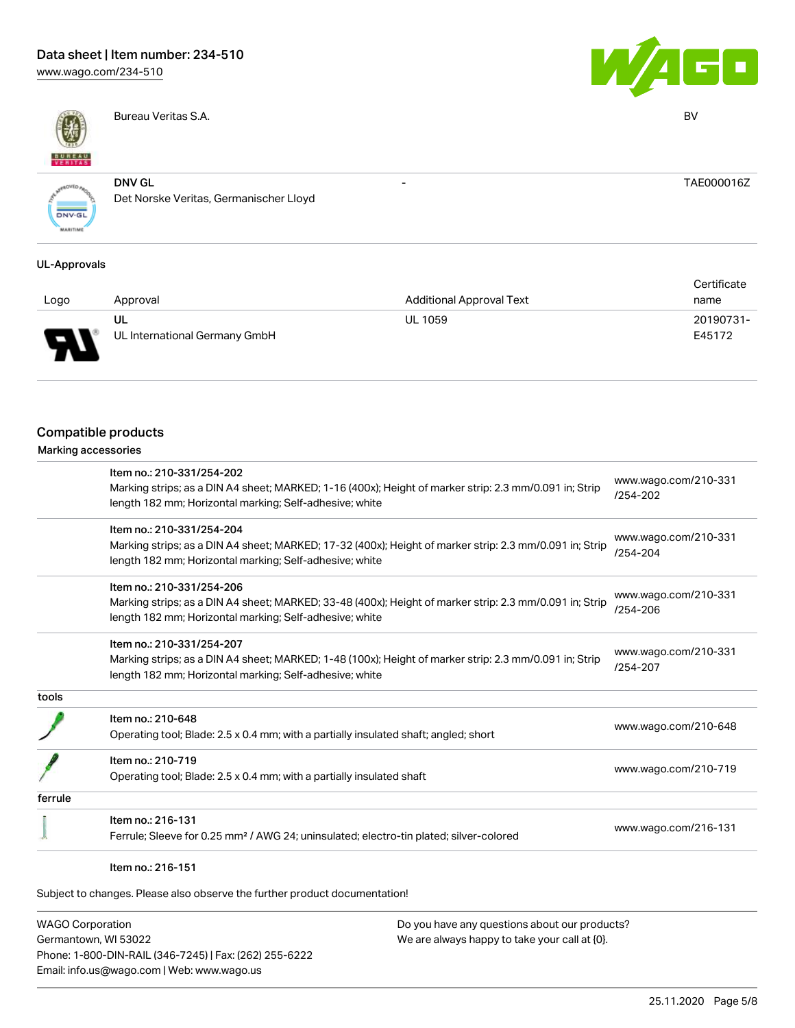# Data sheet | Item number: 234-510

[www.wago.com/234-510](http://www.wago.com/234-510)



Bureau Veritas S.A. BV



- TAE000016Z

**ONV.GL** 

DNV GL Det Norske Veritas, Germanischer Lloyd

## UL-Approvals

|      |                               |                                 | Certificate |
|------|-------------------------------|---------------------------------|-------------|
| Logo | Approval                      | <b>Additional Approval Text</b> | name        |
|      | UL                            | <b>UL 1059</b>                  | 20190731-   |
| Б    | UL International Germany GmbH |                                 | E45172      |

# Compatible products

|         | Item no.: 210-331/254-202                                                                               | www.wago.com/210-331 |
|---------|---------------------------------------------------------------------------------------------------------|----------------------|
|         | Marking strips; as a DIN A4 sheet; MARKED; 1-16 (400x); Height of marker strip: 2.3 mm/0.091 in; Strip  | /254-202             |
|         | length 182 mm; Horizontal marking; Self-adhesive; white                                                 |                      |
|         | Item no.: 210-331/254-204                                                                               | www.wago.com/210-331 |
|         | Marking strips; as a DIN A4 sheet; MARKED; 17-32 (400x); Height of marker strip: 2.3 mm/0.091 in; Strip | $/254 - 204$         |
|         | length 182 mm; Horizontal marking; Self-adhesive; white                                                 |                      |
|         | Item no.: 210-331/254-206                                                                               |                      |
|         | Marking strips; as a DIN A4 sheet; MARKED; 33-48 (400x); Height of marker strip: 2.3 mm/0.091 in; Strip | www.wago.com/210-331 |
|         | length 182 mm; Horizontal marking; Self-adhesive; white                                                 | /254-206             |
|         | Item no.: 210-331/254-207                                                                               |                      |
|         | Marking strips; as a DIN A4 sheet; MARKED; 1-48 (100x); Height of marker strip: 2.3 mm/0.091 in; Strip  | www.wago.com/210-331 |
|         | length 182 mm; Horizontal marking; Self-adhesive; white                                                 | /254-207             |
| tools   |                                                                                                         |                      |
|         | Item no.: 210-648                                                                                       | www.wago.com/210-648 |
|         | Operating tool; Blade: 2.5 x 0.4 mm; with a partially insulated shaft; angled; short                    |                      |
|         | Item no.: 210-719                                                                                       |                      |
|         | Operating tool; Blade: 2.5 x 0.4 mm; with a partially insulated shaft                                   | www.wago.com/210-719 |
| ferrule |                                                                                                         |                      |
|         | Item no.: 216-131                                                                                       |                      |
|         | Ferrule; Sleeve for 0.25 mm <sup>2</sup> / AWG 24; uninsulated; electro-tin plated; silver-colored      | www.wago.com/216-131 |
|         |                                                                                                         |                      |

Subject to changes. Please also observe the further product documentation!

WAGO Corporation Germantown, WI 53022 Phone: 1-800-DIN-RAIL (346-7245) | Fax: (262) 255-6222 Email: info.us@wago.com | Web: www.wago.us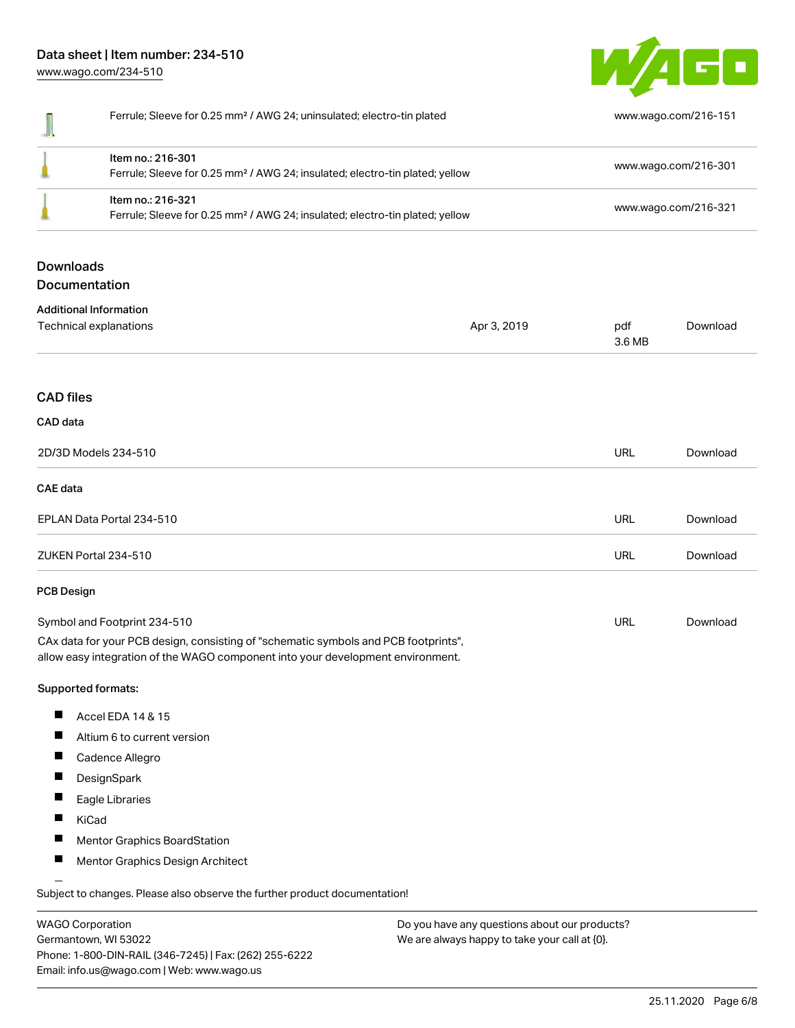# Data sheet | Item number: 234-510 [www.wago.com/234-510](http://www.wago.com/234-510)



|                      | Ferrule; Sleeve for 0.25 mm <sup>2</sup> / AWG 24; uninsulated; electro-tin plated                                                                                     |               | www.wago.com/216-151                         |  |
|----------------------|------------------------------------------------------------------------------------------------------------------------------------------------------------------------|---------------|----------------------------------------------|--|
|                      | Item no.: 216-301<br>Ferrule; Sleeve for 0.25 mm <sup>2</sup> / AWG 24; insulated; electro-tin plated; yellow                                                          |               | www.wago.com/216-301<br>www.wago.com/216-321 |  |
|                      | Item no.: 216-321<br>Ferrule; Sleeve for 0.25 mm <sup>2</sup> / AWG 24; insulated; electro-tin plated; yellow                                                          |               |                                              |  |
| <b>Downloads</b>     | Documentation                                                                                                                                                          |               |                                              |  |
|                      | <b>Additional Information</b>                                                                                                                                          |               |                                              |  |
|                      | Technical explanations<br>Apr 3, 2019                                                                                                                                  | pdf<br>3.6 MB | Download                                     |  |
| <b>CAD files</b>     |                                                                                                                                                                        |               |                                              |  |
| CAD data             |                                                                                                                                                                        |               |                                              |  |
| 2D/3D Models 234-510 |                                                                                                                                                                        | <b>URL</b>    | Download                                     |  |
| <b>CAE</b> data      |                                                                                                                                                                        |               |                                              |  |
|                      | EPLAN Data Portal 234-510                                                                                                                                              | <b>URL</b>    | Download                                     |  |
|                      | ZUKEN Portal 234-510                                                                                                                                                   | URL           | Download                                     |  |
| PCB Design           |                                                                                                                                                                        |               |                                              |  |
|                      | Symbol and Footprint 234-510                                                                                                                                           | URL           | Download                                     |  |
|                      | CAx data for your PCB design, consisting of "schematic symbols and PCB footprints",<br>allow easy integration of the WAGO component into your development environment. |               |                                              |  |
|                      | Supported formats:                                                                                                                                                     |               |                                              |  |
| ш                    | Accel EDA 14 & 15                                                                                                                                                      |               |                                              |  |
|                      | Altium 6 to current version                                                                                                                                            |               |                                              |  |
| ш                    | Cadence Allegro                                                                                                                                                        |               |                                              |  |
| ш                    | DesignSpark                                                                                                                                                            |               |                                              |  |
|                      | Eagle Libraries                                                                                                                                                        |               |                                              |  |
|                      | KiCad                                                                                                                                                                  |               |                                              |  |
|                      | Mentor Graphics BoardStation                                                                                                                                           |               |                                              |  |
| ш                    | Mentor Graphics Design Architect                                                                                                                                       |               |                                              |  |

WAGO Corporation Germantown, WI 53022 Phone: 1-800-DIN-RAIL (346-7245) | Fax: (262) 255-6222 Email: info.us@wago.com | Web: www.wago.us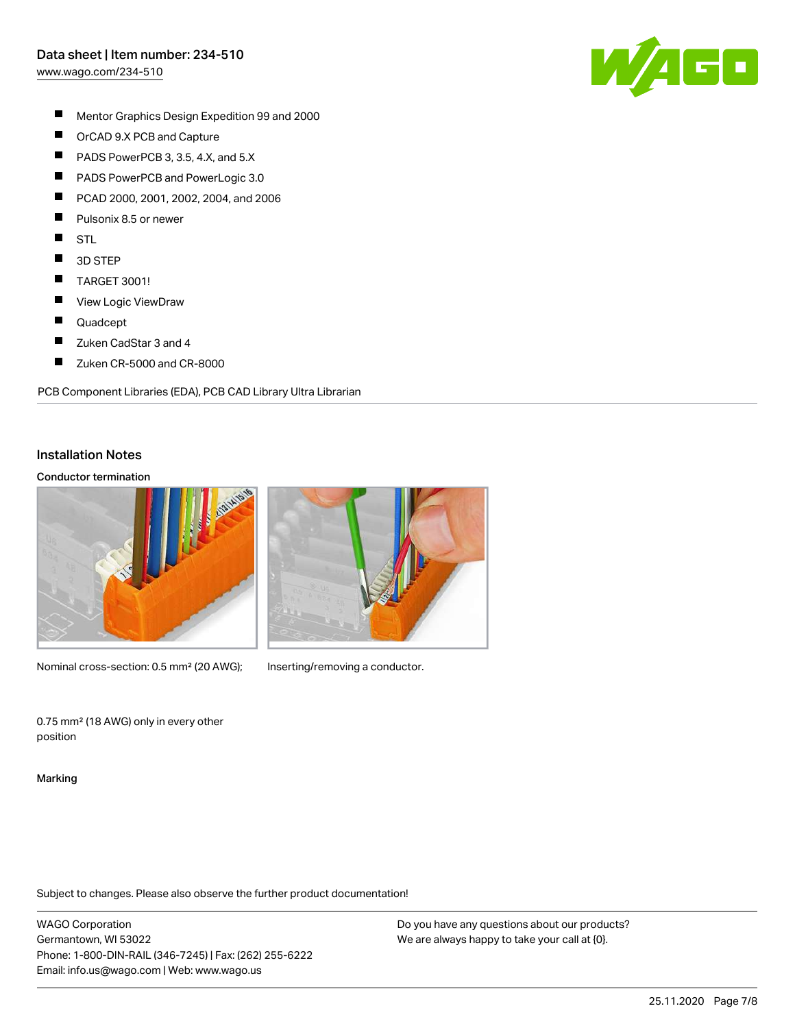[www.wago.com/234-510](http://www.wago.com/234-510)



- $\blacksquare$ Mentor Graphics Design Expedition 99 and 2000
- $\blacksquare$ OrCAD 9.X PCB and Capture
- $\blacksquare$ PADS PowerPCB 3, 3.5, 4.X, and 5.X
- $\blacksquare$ PADS PowerPCB and PowerLogic 3.0
- П PCAD 2000, 2001, 2002, 2004, and 2006
- $\blacksquare$ Pulsonix 8.5 or newer
- $\blacksquare$ STL
- $\blacksquare$ 3D STEP
- $\blacksquare$ TARGET 3001!
- $\blacksquare$ View Logic ViewDraw
- $\blacksquare$ Quadcept
- П Zuken CadStar 3 and 4
- $\blacksquare$ Zuken CR-5000 and CR-8000

PCB Component Libraries (EDA), PCB CAD Library Ultra Librarian

### Installation Notes

### Conductor termination



Nominal cross-section: 0.5 mm<sup>2</sup> (20 AWG); Inserting/removing a conductor.

0.75 mm² (18 AWG) only in every other position

Marking

Subject to changes. Please also observe the further product documentation!

WAGO Corporation Germantown, WI 53022 Phone: 1-800-DIN-RAIL (346-7245) | Fax: (262) 255-6222 Email: info.us@wago.com | Web: www.wago.us